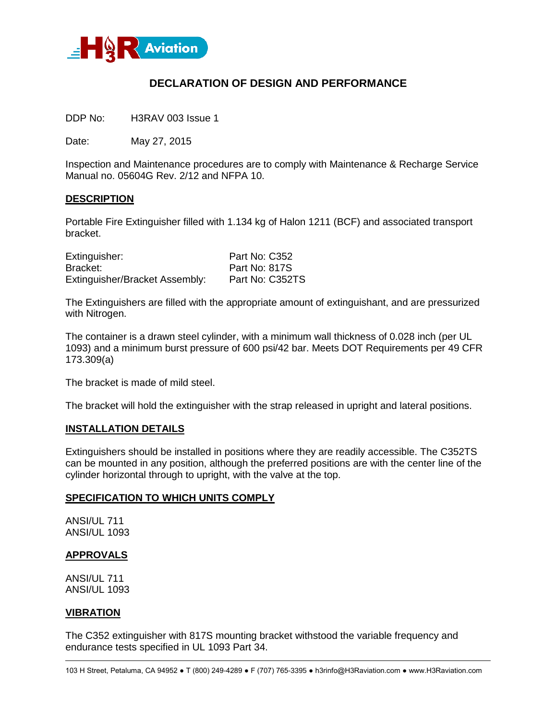

# **DECLARATION OF DESIGN AND PERFORMANCE**

DDP No: H3RAV 003 Issue 1

Date: May 27, 2015

Inspection and Maintenance procedures are to comply with Maintenance & Recharge Service Manual no. 05604G Rev. 2/12 and NFPA 10.

## **DESCRIPTION**

Portable Fire Extinguisher filled with 1.134 kg of Halon 1211 (BCF) and associated transport bracket.

| Extinguisher:                  | Part No: C352   |
|--------------------------------|-----------------|
| Bracket:                       | Part No: 817S   |
| Extinguisher/Bracket Assembly: | Part No: C352TS |

The Extinguishers are filled with the appropriate amount of extinguishant, and are pressurized with Nitrogen.

The container is a drawn steel cylinder, with a minimum wall thickness of 0.028 inch (per UL 1093) and a minimum burst pressure of 600 psi/42 bar. Meets DOT Requirements per 49 CFR 173.309(a)

The bracket is made of mild steel.

The bracket will hold the extinguisher with the strap released in upright and lateral positions.

#### **INSTALLATION DETAILS**

Extinguishers should be installed in positions where they are readily accessible. The C352TS can be mounted in any position, although the preferred positions are with the center line of the cylinder horizontal through to upright, with the valve at the top.

#### **SPECIFICATION TO WHICH UNITS COMPLY**

ANSI/UL 711 ANSI/UL 1093

## **APPROVALS**

ANSI/UL 711 ANSI/UL 1093

#### **VIBRATION**

The C352 extinguisher with 817S mounting bracket withstood the variable frequency and endurance tests specified in UL 1093 Part 34.